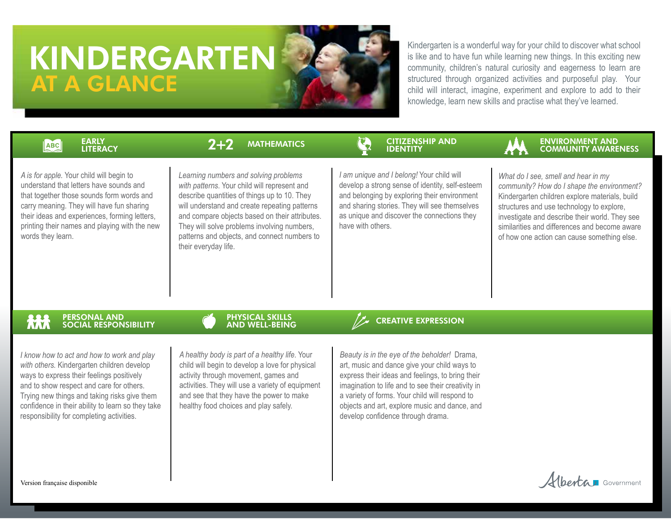# KINDERGARTEN AT A GLANCE

Kindergarten is a wonderful way for your child to discover what school is like and to have fun while learning new things. In this exciting new community, children's natural curiosity and eagerness to learn are structured through organized activities and purposeful play. Your child will interact, imagine, experiment and explore to add to their knowledge, learn new skills and practise what they've learned.

#### EARLY ABC LITERACY

 $2 + 2$ 

# MATHEMATICS **CONSERVERS (CITIZENSHIP AND SERVERS)**



*A is for apple.* Your child will begin to understand that letters have sounds and that together those sounds form words and carry meaning. They will have fun sharing their ideas and experiences, forming letters, printing their names and playing with the new words they learn.

*Learning numbers and solving problems with patterns*. Your child will represent and describe quantities of things up to 10. They will understand and create repeating patterns and compare objects based on their attributes. They will solve problems involving numbers, patterns and objects, and connect numbers to their everyday life.

*I am unique and I belong!* Your child will develop a strong sense of identity, self-esteem and belonging by exploring their environment and sharing stories. They will see themselves as unique and discover the connections they have with others.

*What do I see, smell and hear in my community? How do I shape the environment?*  Kindergarten children explore materials, build structures and use technology to explore, investigate and describe their world. They see similarities and differences and become aware of how one action can cause something else.

Alberta Government

#### 林 PERSONAL AND SOCIAL RESPONSIBILITY

*I know how to act and how to work and play with others.* Kindergarten children develop ways to express their feelings positively and to show respect and care for others. Trying new things and taking risks give them confidence in their ability to learn so they take responsibility for completing activities.

### PHYSICAL SKILLS AND WELL-BEING

*A healthy body is part of a healthy life*. Your child will begin to develop a love for physical activity through movement, games and activities. They will use a variety of equipment and see that they have the power to make healthy food choices and play safely.

# CREATIVE EXPRESSION

*Beauty is in the eye of the beholder!* Drama, art, music and dance give your child ways to express their ideas and feelings, to bring their imagination to life and to see their creativity in a variety of forms. Your child will respond to objects and art, explore music and dance, and develop confidence through drama.